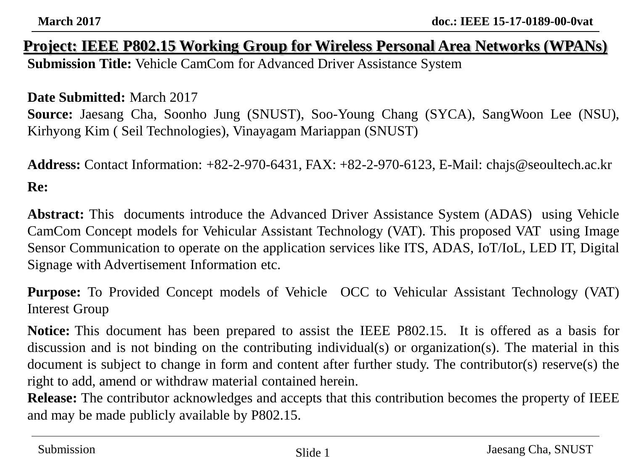#### **Project: IEEE P802.15 Working Group for Wireless Personal Area Networks (WPANs) Submission Title:** Vehicle CamCom for Advanced Driver Assistance System

#### **Date Submitted:** March 2017

**Source:** Jaesang Cha, Soonho Jung (SNUST), Soo-Young Chang (SYCA), SangWoon Lee (NSU), Kirhyong Kim ( Seil Technologies), Vinayagam Mariappan (SNUST)

**Address:** Contact Information: +82-2-970-6431, FAX: +82-2-970-6123, E-Mail: chajs@seoultech.ac.kr **Re:**

**Abstract:** This documents introduce the Advanced Driver Assistance System (ADAS) using Vehicle CamCom Concept models for Vehicular Assistant Technology (VAT). This proposed VAT using Image Sensor Communication to operate on the application services like ITS, ADAS, IoT/IoL, LED IT, Digital Signage with Advertisement Information etc.

**Purpose:** To Provided Concept models of Vehicle OCC to Vehicular Assistant Technology (VAT) Interest Group

**Notice:** This document has been prepared to assist the IEEE P802.15. It is offered as a basis for discussion and is not binding on the contributing individual(s) or organization(s). The material in this document is subject to change in form and content after further study. The contributor(s) reserve(s) the right to add, amend or withdraw material contained herein.

**Release:** The contributor acknowledges and accepts that this contribution becomes the property of IEEE and may be made publicly available by P802.15.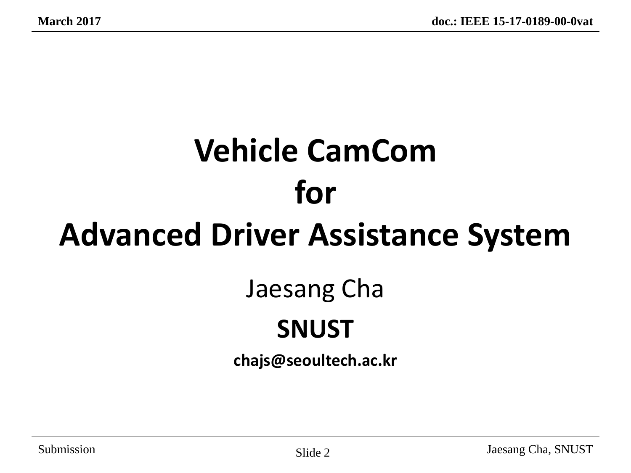# **Vehicle CamCom for Advanced Driver Assistance System**

## Jaesang Cha

#### **SNUST**

**chajs@seoultech.ac.kr**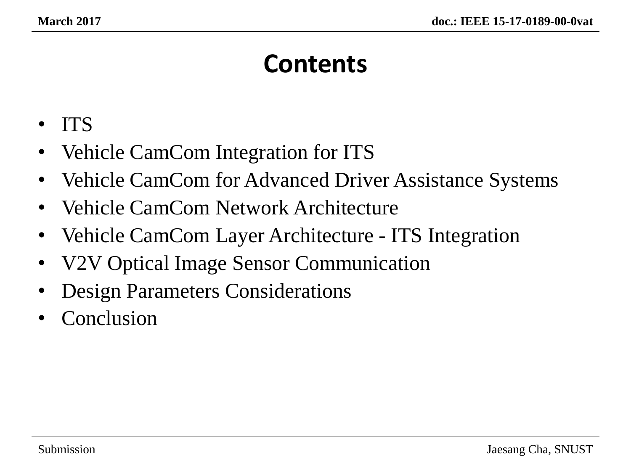### **Contents**

- ITS
- Vehicle CamCom Integration for ITS
- Vehicle CamCom for Advanced Driver Assistance Systems
- Vehicle CamCom Network Architecture
- Vehicle CamCom Layer Architecture ITS Integration
- V2V Optical Image Sensor Communication
- Design Parameters Considerations
- **Conclusion**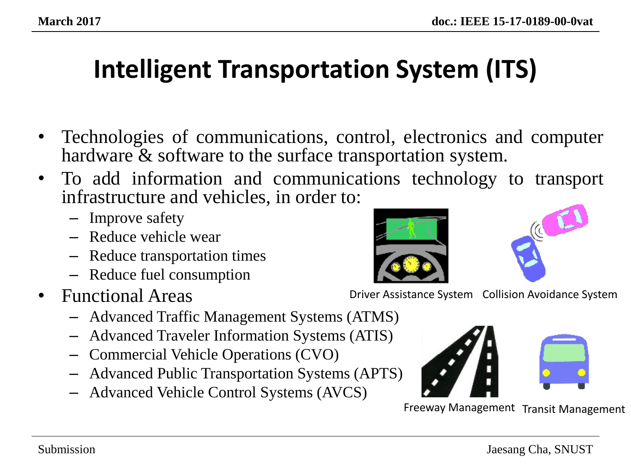### **Intelligent Transportation System (ITS)**

- Technologies of communications, control, electronics and computer hardware & software to the surface transportation system.
- To add information and communications technology to transport infrastructure and vehicles, in order to:
	- Improve safety
	- Reduce vehicle wear
	- Reduce transportation times
	- Reduce fuel consumption
- Functional Areas
	- Advanced Traffic Management Systems (ATMS)
	- Advanced Traveler Information Systems (ATIS)
	- Commercial Vehicle Operations (CVO)
	- Advanced Public Transportation Systems (APTS)
	- Advanced Vehicle Control Systems (AVCS)



Driver Assistance System Collision Avoidance System



Freeway Management Transit Management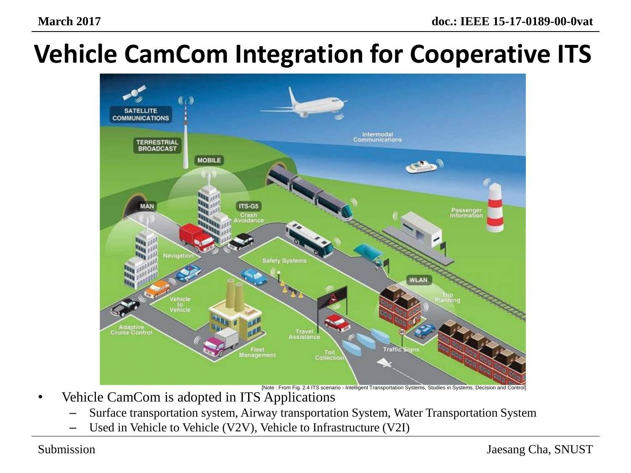### **Vehicle CamCom Integration for Cooperative ITS**



[Note : From Fig. 2.4 ITS scenario - Intelligent Transportation Systems, Studies in Systems, Decision and Control]

- Vehicle CamCom is adopted in ITS Applications
	- Surface transportation system, Airway transportation System, Water Transportation System
	- Used in Vehicle to Vehicle (V2V), Vehicle to Infrastructure (V2I)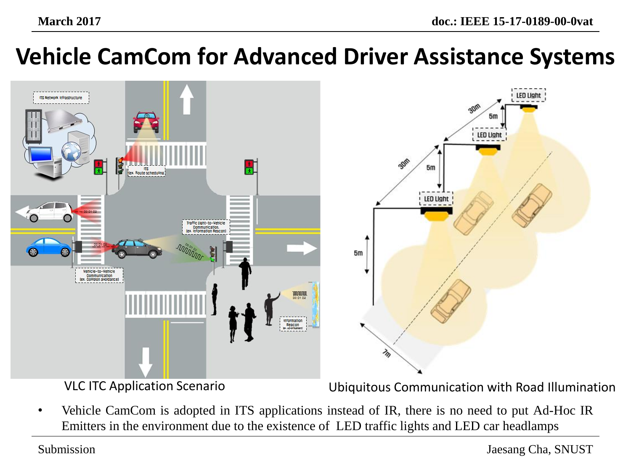#### **Vehicle CamCom for Advanced Driver Assistance Systems**



VLC ITC Application Scenario Ubiquitous Communication with Road Illumination

• Vehicle CamCom is adopted in ITS applications instead of IR, there is no need to put Ad-Hoc IR Emitters in the environment due to the existence of LED traffic lights and LED car headlamps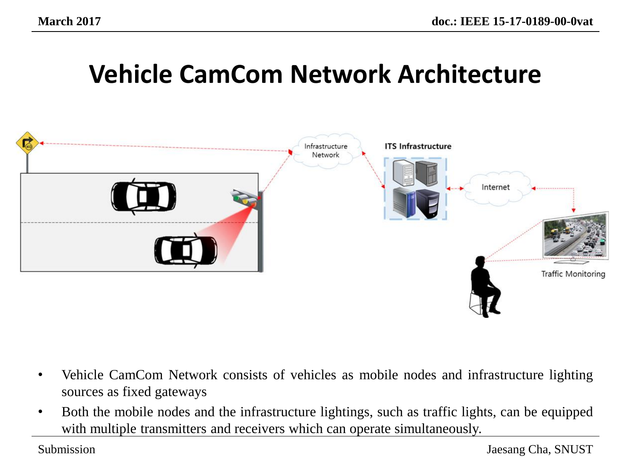#### **Vehicle CamCom Network Architecture**



- Vehicle CamCom Network consists of vehicles as mobile nodes and infrastructure lighting sources as fixed gateways
- Both the mobile nodes and the infrastructure lightings, such as traffic lights, can be equipped with multiple transmitters and receivers which can operate simultaneously.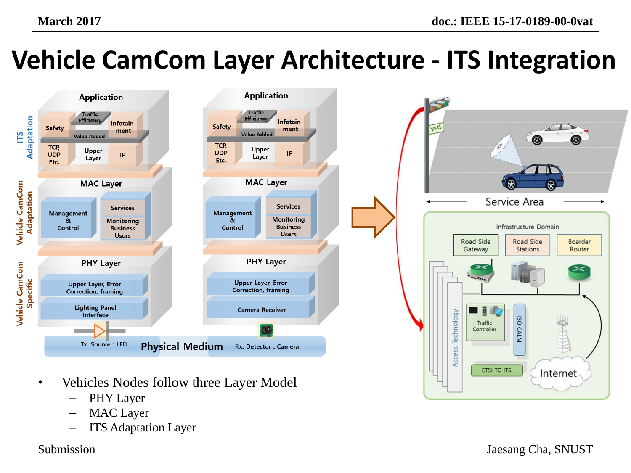## **Vehicle CamCom Layer Architecture - ITS Integration**



- Vehicles Nodes follow three Layer Model
	- PHY Layer
	- MAC Layer
	- ITS Adaptation Layer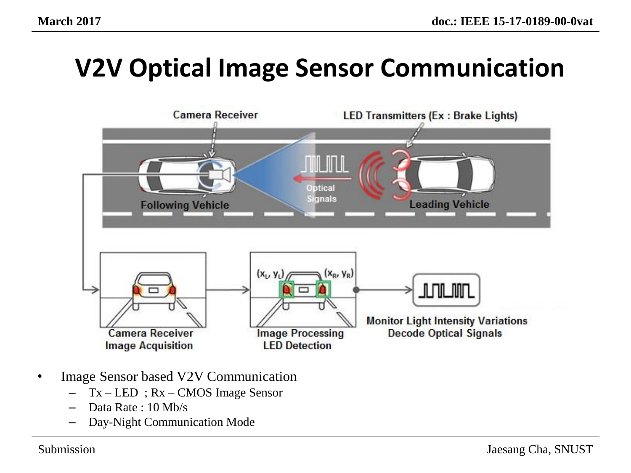

- Image Sensor based V2V Communication
	- $Tx LED$ ;  $Rx CMOS$  Image Sensor
	- Data Rate : 10 Mb/s
	- Day-Night Communication Mode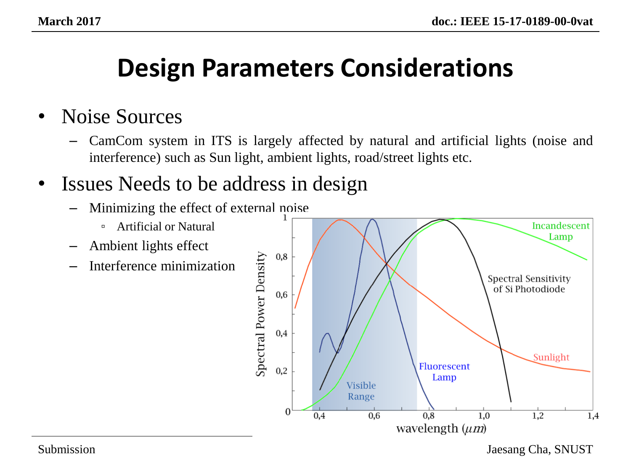#### **Design Parameters Considerations**

#### • Noise Sources

– CamCom system in ITS is largely affected by natural and artificial lights (noise and interference) such as Sun light, ambient lights, road/street lights etc.

#### • Issues Needs to be address in design

- Minimizing the effect of external noise
	- Artificial or Natural
- Ambient lights effect
- Interference minimization



Submission Jaesang Cha, SNUST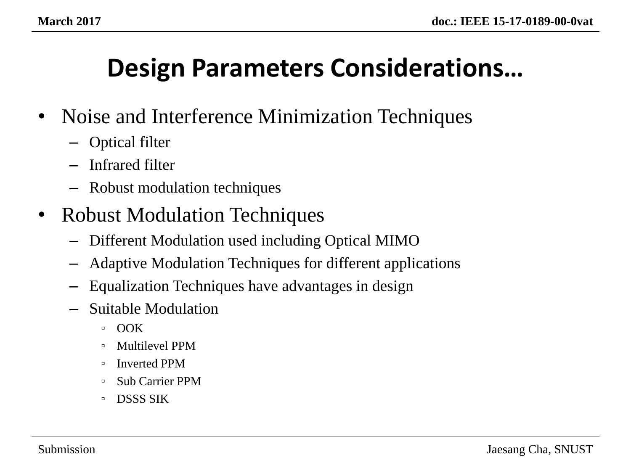#### **Design Parameters Considerations…**

- Noise and Interference Minimization Techniques
	- Optical filter
	- Infrared filter
	- Robust modulation techniques
- Robust Modulation Techniques
	- Different Modulation used including Optical MIMO
	- Adaptive Modulation Techniques for different applications
	- Equalization Techniques have advantages in design
	- Suitable Modulation
		- OOK
		- Multilevel PPM
		- Inverted PPM
		- Sub Carrier PPM
		- □ DSSS SIK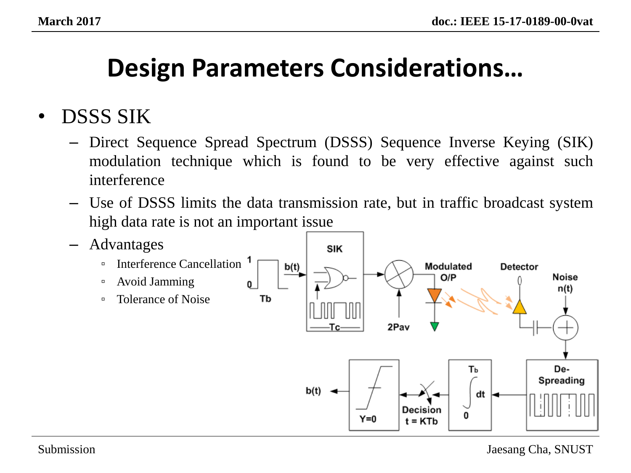#### **Design Parameters Considerations…**

#### • DSSS SIK

- Direct Sequence Spread Spectrum (DSSS) Sequence Inverse Keying (SIK) modulation technique which is found to be very effective against such interference
- Use of DSSS limits the data transmission rate, but in traffic broadcast system high data rate is not an important issue

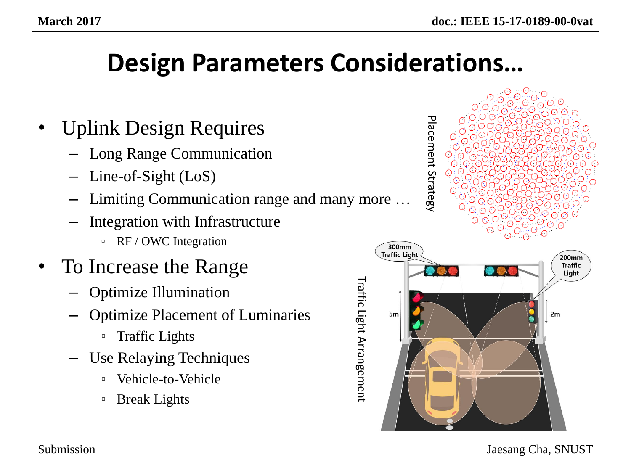#### **Design Parameters Considerations…**

- Uplink Design Requires
	- Long Range Communication
	- Line-of-Sight (LoS)
	- Limiting Communication range and many more …
	- Integration with Infrastructure
		- RF / OWC Integration
- To Increase the Range
	- Optimize Illumination
	- Optimize Placement of Luminaries
		- Traffic Lights
	- Use Relaying Techniques
		- Vehicle-to-Vehicle
		- Break Lights